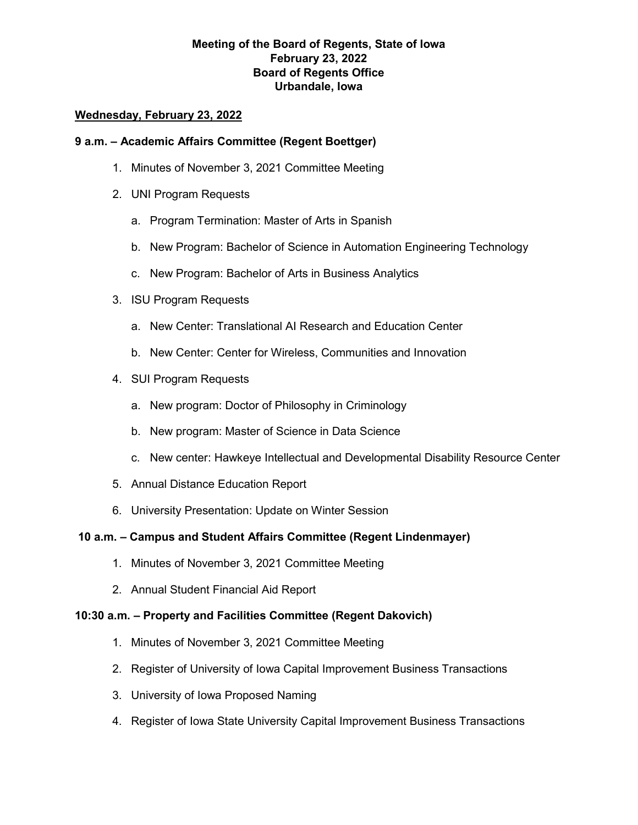# **Meeting of the Board of Regents, State of Iowa February 23, 2022 Board of Regents Office Urbandale, Iowa**

### **Wednesday, February 23, 2022**

#### **9 a.m. – Academic Affairs Committee (Regent Boettger)**

- 1. Minutes of November 3, 2021 Committee Meeting
- 2. UNI Program Requests
	- a. Program Termination: Master of Arts in Spanish
	- b. New Program: Bachelor of Science in Automation Engineering Technology
	- c. New Program: Bachelor of Arts in Business Analytics
- 3. ISU Program Requests
	- a. New Center: Translational AI Research and Education Center
	- b. New Center: Center for Wireless, Communities and Innovation
- 4. SUI Program Requests
	- a. New program: Doctor of Philosophy in Criminology
	- b. New program: Master of Science in Data Science
	- c. New center: Hawkeye Intellectual and Developmental Disability Resource Center
- 5. Annual Distance Education Report
- 6. University Presentation: Update on Winter Session

## **10 a.m. – Campus and Student Affairs Committee (Regent Lindenmayer)**

- 1. Minutes of November 3, 2021 Committee Meeting
- 2. Annual Student Financial Aid Report

#### **10:30 a.m. – Property and Facilities Committee (Regent Dakovich)**

- 1. Minutes of November 3, 2021 Committee Meeting
- 2. Register of University of Iowa Capital Improvement Business Transactions
- 3. University of Iowa Proposed Naming
- 4. Register of Iowa State University Capital Improvement Business Transactions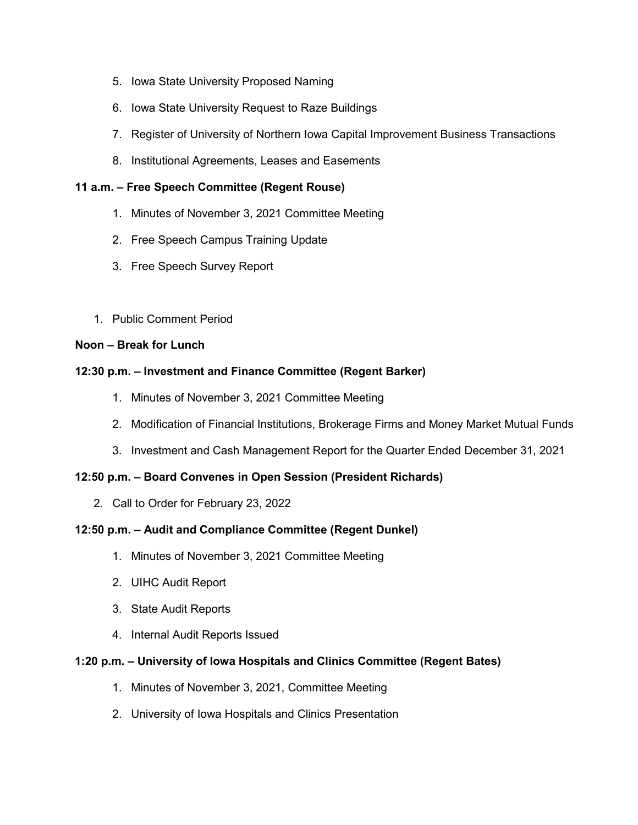- 5. Iowa State University Proposed Naming
- 6. Iowa State University Request to Raze Buildings
- 7. Register of University of Northern Iowa Capital Improvement Business Transactions
- 8. Institutional Agreements, Leases and Easements

# **11 a.m. – Free Speech Committee (Regent Rouse)**

- 1. Minutes of November 3, 2021 Committee Meeting
- 2. Free Speech Campus Training Update
- 3. Free Speech Survey Report
- 1. Public Comment Period

## **Noon – Break for Lunch**

# **12:30 p.m. – Investment and Finance Committee (Regent Barker)**

- 1. Minutes of November 3, 2021 Committee Meeting
- 2. Modification of Financial Institutions, Brokerage Firms and Money Market Mutual Funds
- 3. Investment and Cash Management Report for the Quarter Ended December 31, 2021

# **12:50 p.m. – Board Convenes in Open Session (President Richards)**

2. Call to Order for February 23, 2022

## **12:50 p.m. – Audit and Compliance Committee (Regent Dunkel)**

- 1. Minutes of November 3, 2021 Committee Meeting
- 2. UIHC Audit Report
- 3. State Audit Reports
- 4. Internal Audit Reports Issued

## **1:20 p.m. – University of Iowa Hospitals and Clinics Committee (Regent Bates)**

- 1. Minutes of November 3, 2021, Committee Meeting
- 2. University of Iowa Hospitals and Clinics Presentation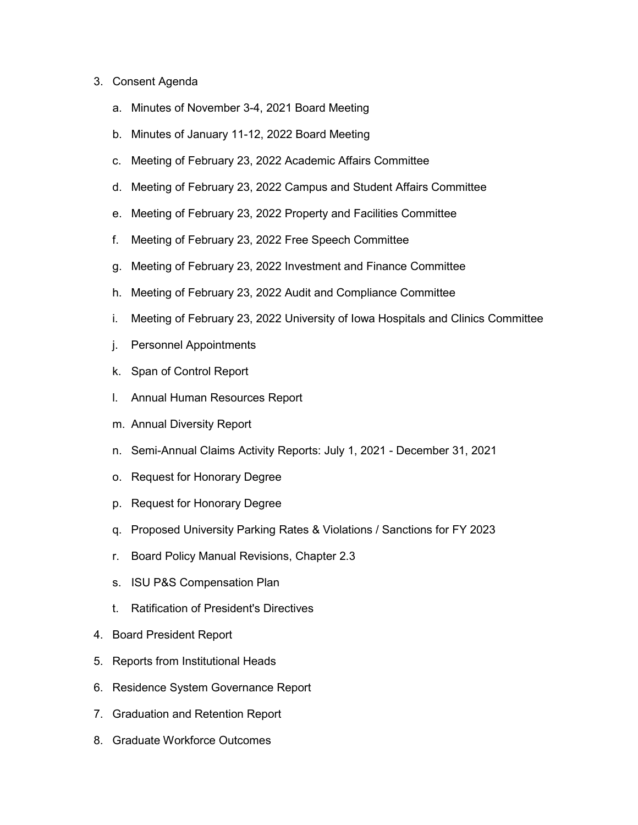#### 3. Consent Agenda

- a. Minutes of November 3-4, 2021 Board Meeting
- b. Minutes of January 11-12, 2022 Board Meeting
- c. Meeting of February 23, 2022 Academic Affairs Committee
- d. Meeting of February 23, 2022 Campus and Student Affairs Committee
- e. Meeting of February 23, 2022 Property and Facilities Committee
- f. Meeting of February 23, 2022 Free Speech Committee
- g. Meeting of February 23, 2022 Investment and Finance Committee
- h. Meeting of February 23, 2022 Audit and Compliance Committee
- i. Meeting of February 23, 2022 University of Iowa Hospitals and Clinics Committee
- j. Personnel Appointments
- k. Span of Control Report
- l. Annual Human Resources Report
- m. Annual Diversity Report
- n. Semi-Annual Claims Activity Reports: July 1, 2021 December 31, 2021
- o. Request for Honorary Degree
- p. Request for Honorary Degree
- q. Proposed University Parking Rates & Violations / Sanctions for FY 2023
- r. Board Policy Manual Revisions, Chapter 2.3
- s. ISU P&S Compensation Plan
- t. Ratification of President's Directives
- 4. Board President Report
- 5. Reports from Institutional Heads
- 6. Residence System Governance Report
- 7. Graduation and Retention Report
- 8. Graduate Workforce Outcomes